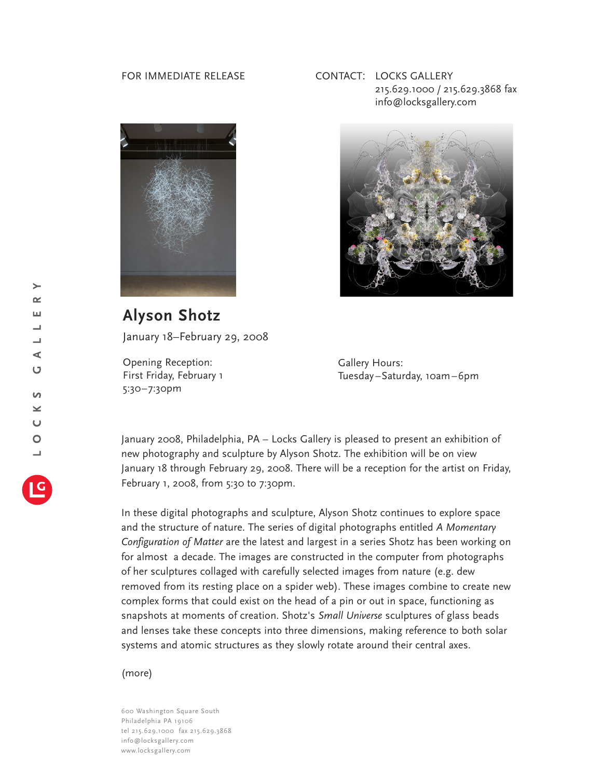## FOR IMMEDIATE RELEASE



CONTACT: LOCKS GALLERY 215.629.1000 / 215.629.3868 fax info@locksgallery.com



**Alyson Shotz** January 18–February 29, 2008

Opening Reception: First Friday, February 1 5:30–7:30pm

Gallery Hours: Tuesday–Saturday, 10am–6pm

January 2008, Philadelphia, PA – Locks Gallery is pleased to present an exhibition of new photography and sculpture by Alyson Shotz. The exhibition will be on view January 18 through February 29, 2008. There will be a reception for the artist on Friday, February 1, 2008, from 5:30 to 7:30pm.

In these digital photographs and sculpture, Alyson Shotz continues to explore space and the structure of nature. The series of digital photographs entitled *A Momentary Configuration of Matter* are the latest and largest in a series Shotz has been working on for almost a decade. The images are constructed in the computer from photographs of her sculptures collaged with carefully selected images from nature (e.g. dew removed from its resting place on a spider web). These images combine to create new complex forms that could exist on the head of a pin or out in space, functioning as snapshots at moments of creation. Shotz's *Small Universe* sculptures of glass beads and lenses take these concepts into three dimensions, making reference to both solar systems and atomic structures as they slowly rotate around their central axes.

(more)

600 Washington Square South Philadelphia PA 19106 tel 215.629.1000 fax 215.629.3868 info@locksgallery.com www.locksgallery.com

 $\geq$